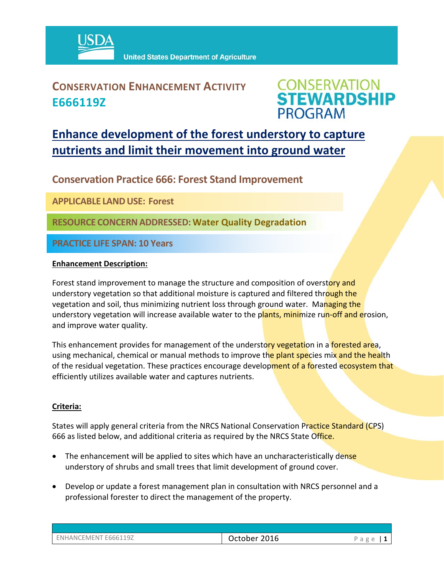

### **CONSERVATION ENHANCEMENT ACTIVITY E666119Z**



## **Enhance development of the forest understory to capture nutrients and limit their movement into ground water**

**Conservation Practice 666: Forest Stand Improvement** 

**APPLICABLE LANDUSE: Forest** 

**RESOURCE CONCERNADDRESSED:Water Quality Degradation**

**PRACTICE LIFE SPAN: 10 Years**

#### **Enhancement Description:**

Forest stand improvement to manage the structure and composition of overstory and understory vegetation so that additional moisture is captured and filtered through the vegetation and soil, thus minimizing nutrient loss through ground water. Managing the understory vegetation will increase available water to the plants, minimize run-off and erosion, and improve water quality.

This enhancement provides for management of the understory vegetation in a forested area, using mechanical, chemical or manual methods to improve the plant species mix and the health of the residual vegetation. These practices encourage development of a forested ecosystem that efficiently utilizes available water and captures nutrients.

#### **Criteria:**

States will apply general criteria from the NRCS National Conservation Practice Standard (CPS) 666 as listed below, and additional criteria as required by the NRCS State Office.

- The enhancement will be applied to sites which have an uncharacteristically dense understory of shrubs and small trees that limit development of ground cover.
- Develop or update a forest management plan in consultation with NRCS personnel and a professional forester to direct the management of the property.

| ENHANCEMENT E666119Z | October 2016 | Page |
|----------------------|--------------|------|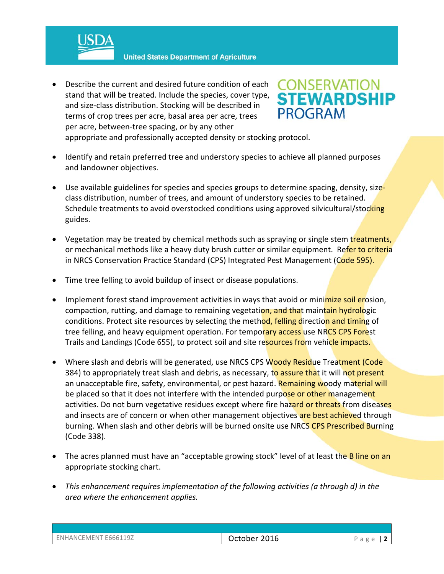**United States Department of Agriculture** 

 Describe the current and desired future condition of each stand that will be treated. Include the species, cover type, and size‐class distribution. Stocking will be described in terms of crop trees per acre, basal area per acre, trees per acre, between‐tree spacing, or by any other



appropriate and professionally accepted density or stocking protocol.

- Identify and retain preferred tree and understory species to achieve all planned purposes and landowner objectives.
- Use available guidelines for species and species groups to determine spacing, density, sizeclass distribution, number of trees, and amount of understory species to be retained. Schedule treatments to avoid overstocked conditions using approved silvicultural/stocking guides.
- Vegetation may be treated by chemical methods such as spraying or single stem treatments, or mechanical methods like a heavy duty brush cutter or similar equipment. Refer to criteria in NRCS Conservation Practice Standard (CPS) Integrated Pest Management (Code 595).
- Time tree felling to avoid buildup of insect or disease populations.
- Implement forest stand improvement activities in ways that avoid or minimize soil erosion, compaction, rutting, and damage to remaining vegetation, and that maintain hydrologic conditions. Protect site resources by selecting the method, felling direction and timing of tree felling, and heavy equipment operation. For temporary access use NRCS CPS Forest Trails and Landings (Code 655), to protect soil and site resources from vehicle impacts.
- Where slash and debris will be generated, use NRCS CPS Woody Residue Treatment (Code 384) to appropriately treat slash and debris, as necessary, to assure that it will not present an unacceptable fire, safety, environmental, or pest hazard. Remaining woody material will be placed so that it does not interfere with the intended purpose or other management activities. Do not burn vegetative residues except where fire hazard or threats from diseases and insects are of concern or when other management objectives are best achieved through burning. When slash and other debris will be burned onsite use NRCS CPS Prescribed Burning (Code 338).
- The acres planned must have an "acceptable growing stock" level of at least the B line on an appropriate stocking chart.
- *This enhancement requires implementation of the following activities (a through d) in the area where the enhancement applies.*

| ENHANCEMENT E666119Z | October 2016 | Page |
|----------------------|--------------|------|